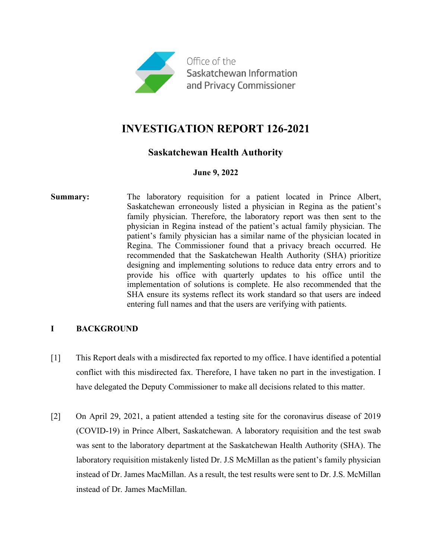

# **INVESTIGATION REPORT 126-2021**

## **Saskatchewan Health Authority**

## **June 9, 2022**

**Summary:** The laboratory requisition for a patient located in Prince Albert, Saskatchewan erroneously listed a physician in Regina as the patient's family physician. Therefore, the laboratory report was then sent to the physician in Regina instead of the patient's actual family physician. The patient's family physician has a similar name of the physician located in Regina. The Commissioner found that a privacy breach occurred. He recommended that the Saskatchewan Health Authority (SHA) prioritize designing and implementing solutions to reduce data entry errors and to provide his office with quarterly updates to his office until the implementation of solutions is complete. He also recommended that the SHA ensure its systems reflect its work standard so that users are indeed entering full names and that the users are verifying with patients.

## **I BACKGROUND**

- [1] This Report deals with a misdirected fax reported to my office. I have identified a potential conflict with this misdirected fax. Therefore, I have taken no part in the investigation. I have delegated the Deputy Commissioner to make all decisions related to this matter.
- [2] On April 29, 2021, a patient attended a testing site for the coronavirus disease of 2019 (COVID-19) in Prince Albert, Saskatchewan. A laboratory requisition and the test swab was sent to the laboratory department at the Saskatchewan Health Authority (SHA). The laboratory requisition mistakenly listed Dr. J.S McMillan as the patient's family physician instead of Dr. James MacMillan. As a result, the test results were sent to Dr. J.S. McMillan instead of Dr. James MacMillan.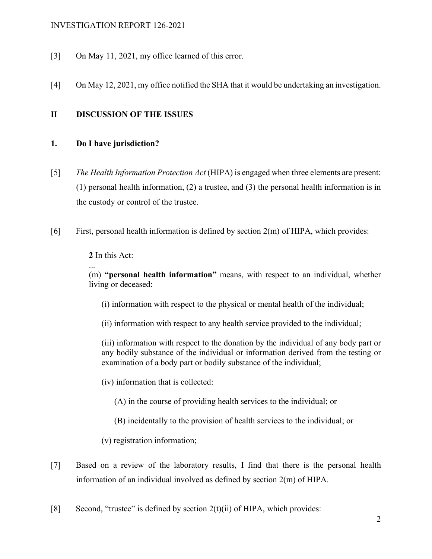- [3] On May 11, 2021, my office learned of this error.
- [4] On May 12, 2021, my office notified the SHA that it would be undertaking an investigation.

#### **II DISCUSSION OF THE ISSUES**

#### **1. Do I have jurisdiction?**

- [5] *The Health Information Protection Act* (HIPA) is engaged when three elements are present: (1) personal health information, (2) a trustee, and (3) the personal health information is in the custody or control of the trustee.
- [6] First, personal health information is defined by section 2(m) of HIPA, which provides:

**2** In this Act:

...

(m) **"personal health information"** means, with respect to an individual, whether living or deceased:

(i) information with respect to the physical or mental health of the individual;

(ii) information with respect to any health service provided to the individual;

(iii) information with respect to the donation by the individual of any body part or any bodily substance of the individual or information derived from the testing or examination of a body part or bodily substance of the individual;

- (iv) information that is collected:
	- (A) in the course of providing health services to the individual; or
	- (B) incidentally to the provision of health services to the individual; or

(v) registration information;

- [7] Based on a review of the laboratory results, I find that there is the personal health information of an individual involved as defined by section 2(m) of HIPA.
- [8] Second, "trustee" is defined by section  $2(t)(ii)$  of HIPA, which provides: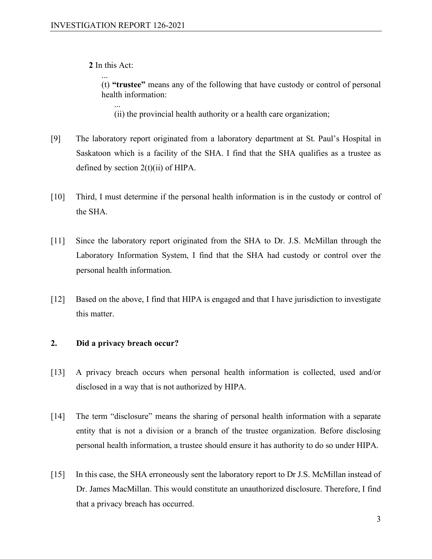**2** In this Act:

...

... (t) **"trustee"** means any of the following that have custody or control of personal health information:

(ii) the provincial health authority or a health care organization;

- [9] The laboratory report originated from a laboratory department at St. Paul's Hospital in Saskatoon which is a facility of the SHA. I find that the SHA qualifies as a trustee as defined by section  $2(t)(ii)$  of HIPA.
- [10] Third, I must determine if the personal health information is in the custody or control of the SHA.
- [11] Since the laboratory report originated from the SHA to Dr. J.S. McMillan through the Laboratory Information System, I find that the SHA had custody or control over the personal health information.
- [12] Based on the above, I find that HIPA is engaged and that I have jurisdiction to investigate this matter.

#### **2. Did a privacy breach occur?**

- [13] A privacy breach occurs when personal health information is collected, used and/or disclosed in a way that is not authorized by HIPA.
- [14] The term "disclosure" means the sharing of personal health information with a separate entity that is not a division or a branch of the trustee organization. Before disclosing personal health information, a trustee should ensure it has authority to do so under HIPA.
- [15] In this case, the SHA erroneously sent the laboratory report to Dr J.S. McMillan instead of Dr. James MacMillan. This would constitute an unauthorized disclosure. Therefore, I find that a privacy breach has occurred.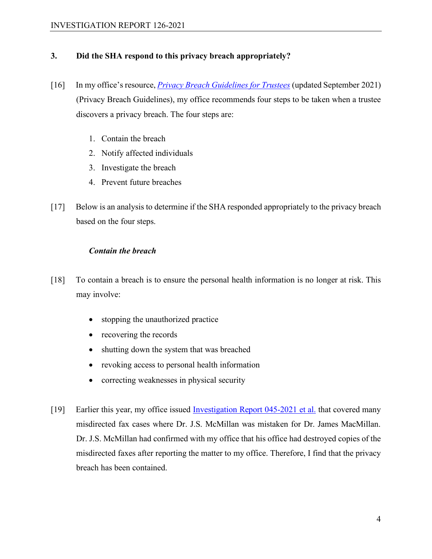## **3. Did the SHA respond to this privacy breach appropriately?**

- [16] In my office's resource, *[Privacy Breach Guidelines for Trustees](https://oipc.sk.ca/resources/resource-directory/privacy-breach-guidelines-for-trustees/)* (updated September 2021) (Privacy Breach Guidelines), my office recommends four steps to be taken when a trustee discovers a privacy breach. The four steps are:
	- 1. Contain the breach
	- 2. Notify affected individuals
	- 3. Investigate the breach
	- 4. Prevent future breaches
- [17] Below is an analysis to determine if the SHA responded appropriately to the privacy breach based on the four steps.

## *Contain the breach*

- [18] To contain a breach is to ensure the personal health information is no longer at risk. This may involve:
	- stopping the unauthorized practice
	- recovering the records
	- shutting down the system that was breached
	- revoking access to personal health information
	- correcting weaknesses in physical security
- [19] Earlier this year, my office issued [Investigation Report 045-2021 et al.](https://oipc.sk.ca/assets/hipa-investigation_045-2021.pdf) that covered many misdirected fax cases where Dr. J.S. McMillan was mistaken for Dr. James MacMillan. Dr. J.S. McMillan had confirmed with my office that his office had destroyed copies of the misdirected faxes after reporting the matter to my office. Therefore, I find that the privacy breach has been contained.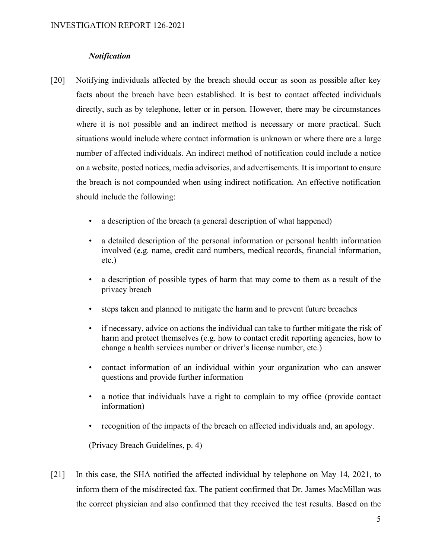#### *Notification*

- [20] Notifying individuals affected by the breach should occur as soon as possible after key facts about the breach have been established. It is best to contact affected individuals directly, such as by telephone, letter or in person. However, there may be circumstances where it is not possible and an indirect method is necessary or more practical. Such situations would include where contact information is unknown or where there are a large number of affected individuals. An indirect method of notification could include a notice on a website, posted notices, media advisories, and advertisements. It is important to ensure the breach is not compounded when using indirect notification. An effective notification should include the following:
	- a description of the breach (a general description of what happened)
	- a detailed description of the personal information or personal health information involved (e.g. name, credit card numbers, medical records, financial information, etc.)
	- a description of possible types of harm that may come to them as a result of the privacy breach
	- steps taken and planned to mitigate the harm and to prevent future breaches
	- if necessary, advice on actions the individual can take to further mitigate the risk of harm and protect themselves (e.g. how to contact credit reporting agencies, how to change a health services number or driver's license number, etc.)
	- contact information of an individual within your organization who can answer questions and provide further information
	- a notice that individuals have a right to complain to my office (provide contact information)
	- recognition of the impacts of the breach on affected individuals and, an apology.

(Privacy Breach Guidelines, p. 4)

[21] In this case, the SHA notified the affected individual by telephone on May 14, 2021, to inform them of the misdirected fax. The patient confirmed that Dr. James MacMillan was the correct physician and also confirmed that they received the test results. Based on the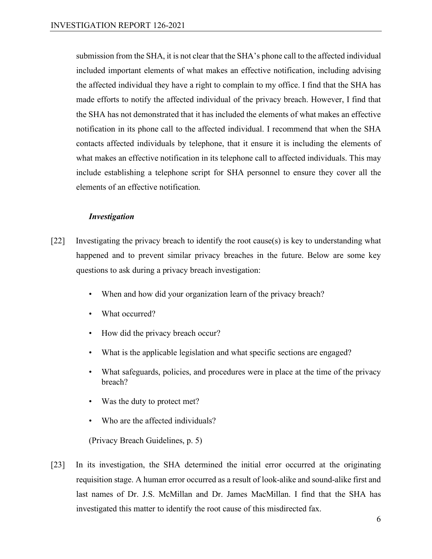submission from the SHA, it is not clear that the SHA's phone call to the affected individual included important elements of what makes an effective notification, including advising the affected individual they have a right to complain to my office. I find that the SHA has made efforts to notify the affected individual of the privacy breach. However, I find that the SHA has not demonstrated that it has included the elements of what makes an effective notification in its phone call to the affected individual. I recommend that when the SHA contacts affected individuals by telephone, that it ensure it is including the elements of what makes an effective notification in its telephone call to affected individuals. This may include establishing a telephone script for SHA personnel to ensure they cover all the elements of an effective notification.

#### *Investigation*

- [22] Investigating the privacy breach to identify the root cause(s) is key to understanding what happened and to prevent similar privacy breaches in the future. Below are some key questions to ask during a privacy breach investigation:
	- When and how did your organization learn of the privacy breach?
	- What occurred?
	- How did the privacy breach occur?
	- What is the applicable legislation and what specific sections are engaged?
	- What safeguards, policies, and procedures were in place at the time of the privacy breach?
	- Was the duty to protect met?
	- Who are the affected individuals?

(Privacy Breach Guidelines, p. 5)

[23] In its investigation, the SHA determined the initial error occurred at the originating requisition stage. A human error occurred as a result of look-alike and sound-alike first and last names of Dr. J.S. McMillan and Dr. James MacMillan. I find that the SHA has investigated this matter to identify the root cause of this misdirected fax.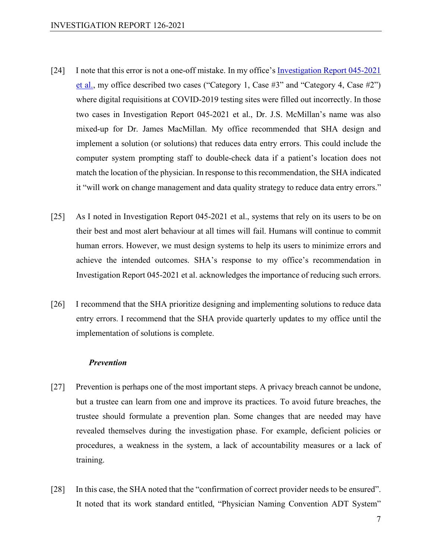- [24] I note that this error is not a one-off mistake. In my office's [Investigation Report 045-2021](https://oipc.sk.ca/assets/hipa-investigation_045-2021.pdf)  [et al.,](https://oipc.sk.ca/assets/hipa-investigation_045-2021.pdf) my office described two cases ("Category 1, Case  $\#3$ " and "Category 4, Case  $\#2$ ") where digital requisitions at COVID-2019 testing sites were filled out incorrectly. In those two cases in Investigation Report 045-2021 et al., Dr. J.S. McMillan's name was also mixed-up for Dr. James MacMillan. My office recommended that SHA design and implement a solution (or solutions) that reduces data entry errors. This could include the computer system prompting staff to double-check data if a patient's location does not match the location of the physician. In response to this recommendation, the SHA indicated it "will work on change management and data quality strategy to reduce data entry errors."
- [25] As I noted in Investigation Report 045-2021 et al., systems that rely on its users to be on their best and most alert behaviour at all times will fail. Humans will continue to commit human errors. However, we must design systems to help its users to minimize errors and achieve the intended outcomes. SHA's response to my office's recommendation in Investigation Report 045-2021 et al. acknowledges the importance of reducing such errors.
- [26] I recommend that the SHA prioritize designing and implementing solutions to reduce data entry errors. I recommend that the SHA provide quarterly updates to my office until the implementation of solutions is complete.

#### *Prevention*

- [27] Prevention is perhaps one of the most important steps. A privacy breach cannot be undone, but a trustee can learn from one and improve its practices. To avoid future breaches, the trustee should formulate a prevention plan. Some changes that are needed may have revealed themselves during the investigation phase. For example, deficient policies or procedures, a weakness in the system, a lack of accountability measures or a lack of training.
- [28] In this case, the SHA noted that the "confirmation of correct provider needs to be ensured". It noted that its work standard entitled, "Physician Naming Convention ADT System"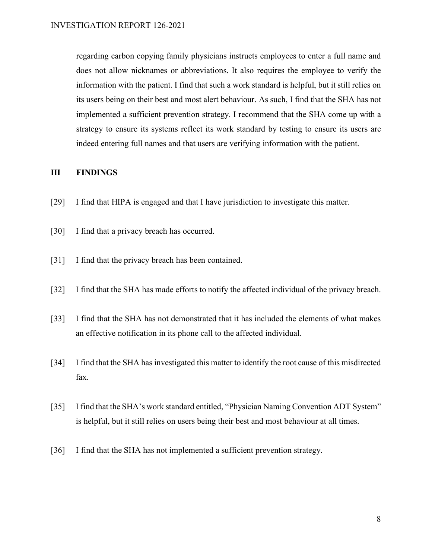regarding carbon copying family physicians instructs employees to enter a full name and does not allow nicknames or abbreviations. It also requires the employee to verify the information with the patient. I find that such a work standard is helpful, but it still relies on its users being on their best and most alert behaviour. As such, I find that the SHA has not implemented a sufficient prevention strategy. I recommend that the SHA come up with a strategy to ensure its systems reflect its work standard by testing to ensure its users are indeed entering full names and that users are verifying information with the patient.

#### **III FINDINGS**

- [29] I find that HIPA is engaged and that I have jurisdiction to investigate this matter.
- [30] I find that a privacy breach has occurred.
- [31] I find that the privacy breach has been contained.
- [32] I find that the SHA has made efforts to notify the affected individual of the privacy breach.
- [33] I find that the SHA has not demonstrated that it has included the elements of what makes an effective notification in its phone call to the affected individual.
- [34] I find that the SHA has investigated this matter to identify the root cause of this misdirected fax.
- [35] I find that the SHA's work standard entitled, "Physician Naming Convention ADT System" is helpful, but it still relies on users being their best and most behaviour at all times.
- [36] I find that the SHA has not implemented a sufficient prevention strategy.